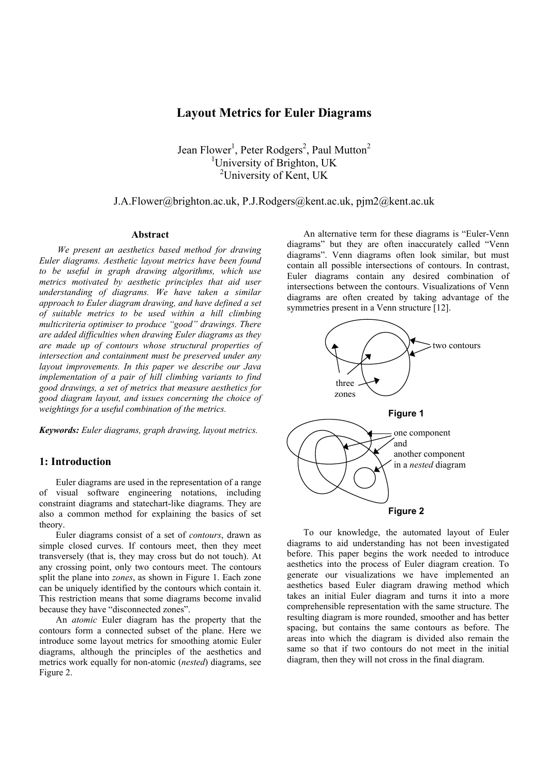# **Layout Metrics for Euler Diagrams**

Jean Flower<sup>1</sup>, Peter Rodgers<sup>2</sup>, Paul Mutton<sup>2</sup> <sup>1</sup>University of Brighton, UK  $^{2}$ University of Kent, UK

# J.A.Flower@brighton.ac.uk, P.J.Rodgers@kent.ac.uk, pjm2@kent.ac.uk

*We present an aesthetics based method for drawing Euler diagrams. Aesthetic layout metrics have been found to be useful in graph drawing algorithms, which use metrics motivated by aesthetic principles that aid user understanding of diagrams. We have taken a similar approach to Euler diagram drawing, and have defined a set of suitable metrics to be used within a hill climbing multicriteria optimiser to produce "good" drawings. There are added difficulties when drawing Euler diagrams as they are made up of contours whose structural properties of intersection and containment must be preserved under any layout improvements. In this paper we describe our Java implementation of a pair of hill climbing variants to find good drawings, a set of metrics that measure aesthetics for good diagram layout, and issues concerning the choice of weightings for a useful combination of the metrics.* 

*Keywords: Euler diagrams, graph drawing, layout metrics.*

# **1: Introduction**

Euler diagrams are used in the representation of a range of visual software engineering notations, including constraint diagrams and statechart-like diagrams. They are also a common method for explaining the basics of set theory.

Euler diagrams consist of a set of *contours*, drawn as simple closed curves. If contours meet, then they meet transversely (that is, they may cross but do not touch). At any crossing point, only two contours meet. The contours split the plane into *zones*, as shown in Figure 1. Each zone can be uniquely identified by the contours which contain it. This restriction means that some diagrams become invalid because they have "disconnected zones".

An *atomic* Euler diagram has the property that the contours form a connected subset of the plane. Here we introduce some layout metrics for smoothing atomic Euler diagrams, although the principles of the aesthetics and metrics work equally for non-atomic (*nested*) diagrams, see Figure 2.

**Abstract An alternative term for these diagrams is "Euler-Venn**" diagrams" but they are often inaccurately called "Venn diagrams". Venn diagrams often look similar, but must contain all possible intersections of contours. In contrast, Euler diagrams contain any desired combination of intersections between the contours. Visualizations of Venn diagrams are often created by taking advantage of the symmetries present in a Venn structure [\[12\]](#page-8-0).



To our knowledge, the automated layout of Euler diagrams to aid understanding has not been investigated before. This paper begins the work needed to introduce aesthetics into the process of Euler diagram creation. To generate our visualizations we have implemented an aesthetics based Euler diagram drawing method which takes an initial Euler diagram and turns it into a more comprehensible representation with the same structure. The resulting diagram is more rounded, smoother and has better spacing, but contains the same contours as before. The areas into which the diagram is divided also remain the same so that if two contours do not meet in the initial diagram, then they will not cross in the final diagram.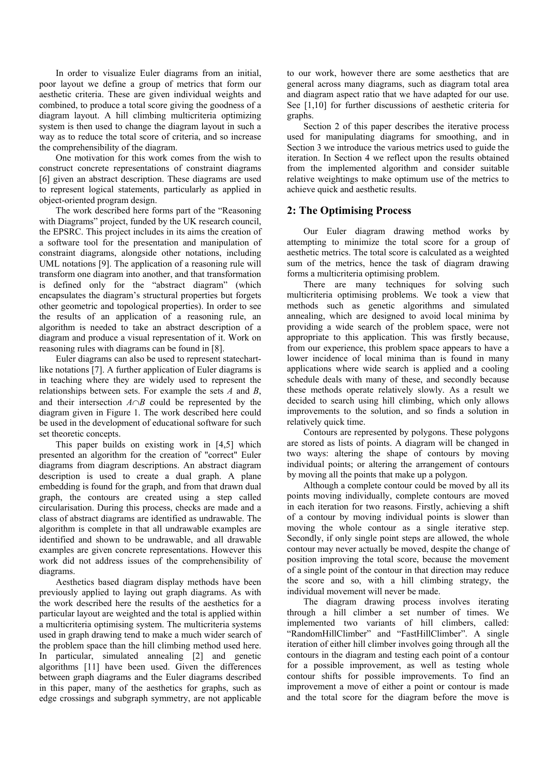In order to visualize Euler diagrams from an initial, poor layout we define a group of metrics that form our aesthetic criteria. These are given individual weights and combined, to produce a total score giving the goodness of a diagram layout. A hill climbing multicriteria optimizing system is then used to change the diagram layout in such a way as to reduce the total score of criteria, and so increase the comprehensibility of the diagram.

One motivation for this work comes from the wish to construct concrete representations of constraint diagrams [[6\]](#page-8-1) given an abstract description. These diagrams are used to represent logical statements, particularly as applied in object-oriented program design.

The work described here forms part of the "Reasoning with Diagrams" project, funded by the UK research council, the EPSRC. This project includes in its aims the creation of a software tool for the presentation and manipulation of constraint diagrams, alongside other notations, including UML notations [\[9\]](#page-8-2). The application of a reasoning rule will transform one diagram into another, and that transformation is defined only for the "abstract diagram" (which encapsulates the diagram's structural properties but forgets other geometric and topological properties). In order to see the results of an application of a reasoning rule, an algorithm is needed to take an abstract description of a diagram and produce a visual representation of it. Work on reasoning rules with diagrams can be found in [\[8\]](#page-8-3).

Euler diagrams can also be used to represent statechartlike notations [\[7\]](#page-8-4). A further application of Euler diagrams is in teaching where they are widely used to represent the relationships between sets. For example the sets *A* and *B*, and their intersection *A*∩*B* could be represented by the diagram given in Figure 1. The work described here could be used in the development of educational software for such set theoretic concepts.

This paper builds on existing work in [\[4,](#page-8-5)[5\]](#page-8-6) which presented an algorithm for the creation of "correct" Euler diagrams from diagram descriptions. An abstract diagram description is used to create a dual graph. A plane embedding is found for the graph, and from that drawn dual graph, the contours are created using a step called circularisation. During this process, checks are made and a class of abstract diagrams are identified as undrawable. The algorithm is complete in that all undrawable examples are identified and shown to be undrawable, and all drawable examples are given concrete representations. However this work did not address issues of the comprehensibility of diagrams.

Aesthetics based diagram display methods have been previously applied to laying out graph diagrams. As with the work described here the results of the aesthetics for a particular layout are weighted and the total is applied within a multicriteria optimising system. The multicriteria systems used in graph drawing tend to make a much wider search of the problem space than the hill climbing method used here. In particular, simulated annealing [\[2\]](#page-8-7) and genetic algorithms [\[11\]](#page-8-8) have been used. Given the differences between graph diagrams and the Euler diagrams described in this paper, many of the aesthetics for graphs, such as edge crossings and subgraph symmetry, are not applicable to our work, however there are some aesthetics that are general across many diagrams, such as diagram total area and diagram aspect ratio that we have adapted for our use. See [\[1](#page-8-9)[,10\]](#page-8-10) for further discussions of aesthetic criteria for graphs.

Section 2 of this paper describes the iterative process used for manipulating diagrams for smoothing, and in Section 3 we introduce the various metrics used to guide the iteration. In Section 4 we reflect upon the results obtained from the implemented algorithm and consider suitable relative weightings to make optimum use of the metrics to achieve quick and aesthetic results.

# **2: The Optimising Process**

Our Euler diagram drawing method works by attempting to minimize the total score for a group of aesthetic metrics. The total score is calculated as a weighted sum of the metrics, hence the task of diagram drawing forms a multicriteria optimising problem.

There are many techniques for solving such multicriteria optimising problems. We took a view that methods such as genetic algorithms and simulated annealing, which are designed to avoid local minima by providing a wide search of the problem space, were not appropriate to this application. This was firstly because, from our experience, this problem space appears to have a lower incidence of local minima than is found in many applications where wide search is applied and a cooling schedule deals with many of these, and secondly because these methods operate relatively slowly. As a result we decided to search using hill climbing, which only allows improvements to the solution, and so finds a solution in relatively quick time.

Contours are represented by polygons. These polygons are stored as lists of points. A diagram will be changed in two ways: altering the shape of contours by moving individual points; or altering the arrangement of contours by moving all the points that make up a polygon.

Although a complete contour could be moved by all its points moving individually, complete contours are moved in each iteration for two reasons. Firstly, achieving a shift of a contour by moving individual points is slower than moving the whole contour as a single iterative step. Secondly, if only single point steps are allowed, the whole contour may never actually be moved, despite the change of position improving the total score, because the movement of a single point of the contour in that direction may reduce the score and so, with a hill climbing strategy, the individual movement will never be made.

The diagram drawing process involves iterating through a hill climber a set number of times. We implemented two variants of hill climbers, called: "RandomHillClimber" and "FastHillClimber". A single iteration of either hill climber involves going through all the contours in the diagram and testing each point of a contour for a possible improvement, as well as testing whole contour shifts for possible improvements. To find an improvement a move of either a point or contour is made and the total score for the diagram before the move is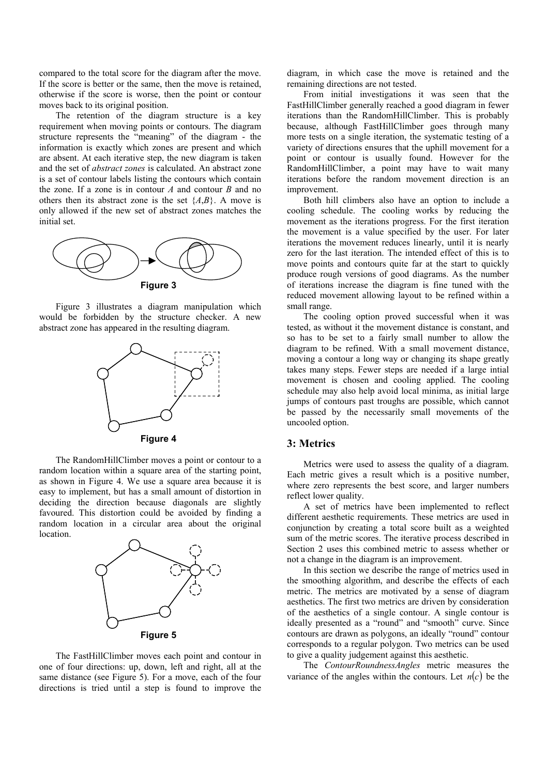compared to the total score for the diagram after the move. If the score is better or the same, then the move is retained, otherwise if the score is worse, then the point or contour moves back to its original position.

The retention of the diagram structure is a key requirement when moving points or contours. The diagram structure represents the "meaning" of the diagram - the information is exactly which zones are present and which are absent. At each iterative step, the new diagram is taken and the set of *abstract zones* is calculated. An abstract zone is a set of contour labels listing the contours which contain the zone. If a zone is in contour *A* and contour *B* and no others then its abstract zone is the set  $\{A,B\}$ . A move is only allowed if the new set of abstract zones matches the initial set.



Figure 3 illustrates a diagram manipulation which would be forbidden by the structure checker. A new abstract zone has appeared in the resulting diagram.



The RandomHillClimber moves a point or contour to a random location within a square area of the starting point. as shown in Figure 4. We use a square area because it is easy to implement, but has a small amount of distortion in deciding the direction because diagonals are slightly favoured. This distortion could be avoided by finding a random location in a circular area about the original location.



The FastHillClimber moves each point and contour in one of four directions: up, down, left and right, all at the same distance (see Figure 5). For a move, each of the four directions is tried until a step is found to improve the diagram, in which case the move is retained and the remaining directions are not tested.

From initial investigations it was seen that the FastHillClimber generally reached a good diagram in fewer iterations than the RandomHillClimber. This is probably because, although FastHillClimber goes through many more tests on a single iteration, the systematic testing of a variety of directions ensures that the uphill movement for a point or contour is usually found. However for the RandomHillClimber, a point may have to wait many iterations before the random movement direction is an improvement.

Both hill climbers also have an option to include a cooling schedule. The cooling works by reducing the movement as the iterations progress. For the first iteration the movement is a value specified by the user. For later iterations the movement reduces linearly, until it is nearly zero for the last iteration. The intended effect of this is to move points and contours quite far at the start to quickly produce rough versions of good diagrams. As the number of iterations increase the diagram is fine tuned with the reduced movement allowing layout to be refined within a small range.

The cooling option proved successful when it was tested, as without it the movement distance is constant, and so has to be set to a fairly small number to allow the diagram to be refined. With a small movement distance, moving a contour a long way or changing its shape greatly takes many steps. Fewer steps are needed if a large intial movement is chosen and cooling applied. The cooling schedule may also help avoid local minima, as initial large jumps of contours past troughs are possible, which cannot be passed by the necessarily small movements of the uncooled option.

#### **3: Metrics**

Metrics were used to assess the quality of a diagram. Each metric gives a result which is a positive number, where zero represents the best score, and larger numbers reflect lower quality.

A set of metrics have been implemented to reflect different aesthetic requirements. These metrics are used in conjunction by creating a total score built as a weighted sum of the metric scores. The iterative process described in Section 2 uses this combined metric to assess whether or not a change in the diagram is an improvement.

In this section we describe the range of metrics used in the smoothing algorithm, and describe the effects of each metric. The metrics are motivated by a sense of diagram aesthetics. The first two metrics are driven by consideration of the aesthetics of a single contour. A single contour is ideally presented as a "round" and "smooth" curve. Since contours are drawn as polygons, an ideally "round" contour corresponds to a regular polygon. Two metrics can be used to give a quality judgement against this aesthetic.

The *ContourRoundnessAngles* metric measures the variance of the angles within the contours. Let  $n(c)$  be the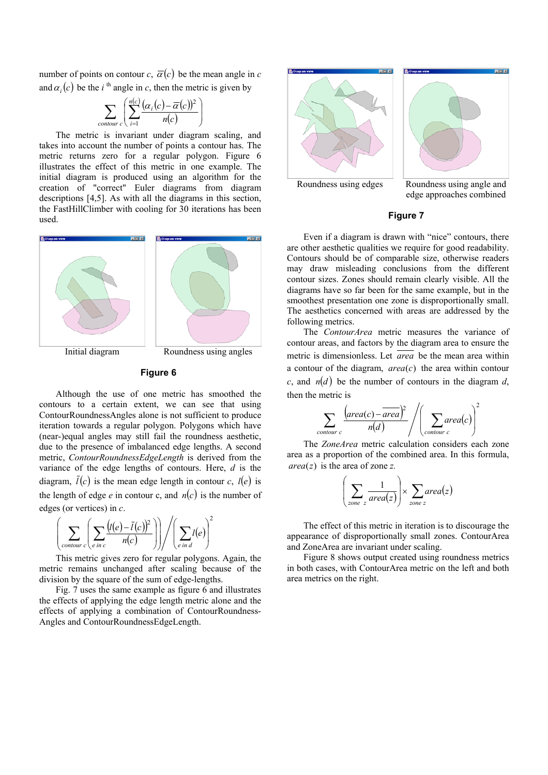number of points on contour  $c$ ,  $\overline{\alpha}(c)$  be the mean angle in  $c$ and  $\alpha_i(c)$  be the *i*<sup>th</sup> angle in *c*, then the metric is given by

$$
\sum_{\text{contour } c} \left( \sum_{i=1}^{n(c)} \frac{(\alpha_i(c) - \overline{\alpha}(c))^2}{n(c)} \right)
$$

The metric is invariant under diagram scaling, and takes into account the number of points a contour has. The metric returns zero for a regular polygon. Figure 6 illustrates the effect of this metric in one example. The initial diagram is produced using an algorithm for the creation of "correct" Euler diagrams from diagram descriptions [\[4,](#page-8-5)[5\]](#page-8-6). As with all the diagrams in this section, the FastHillClimber with cooling for 30 iterations has been used. Figure 7



### **Figure 6**

Although the use of one metric has smoothed the contours to a certain extent, we can see that using ContourRoundnessAngles alone is not sufficient to produce iteration towards a regular polygon. Polygons which have (near-)equal angles may still fail the roundness aesthetic, due to the presence of imbalanced edge lengths. A second metric, *ContourRoundnessEdgeLength* is derived from the variance of the edge lengths of contours. Here, *d* is the diagram,  $\bar{l}(c)$  is the mean edge length in contour *c*,  $l(e)$  is the length of edge *e* in contour c, and  $n(c)$  is the number of edges (or vertices) in *c*.

$$
\left(\sum_{\text{contour } c} \left( \sum_{e \text{ in } c} \frac{\left( l(e) - \overline{l}(c) \right)^2}{n(c)} \right) \right) / \left( \sum_{e \text{ in } d} l(e) \right)^2
$$

This metric gives zero for regular polygons. Again, the metric remains unchanged after scaling because of the division by the square of the sum of edge-lengths.

Fig. 7 uses the same example as figure 6 and illustrates the effects of applying the edge length metric alone and the effects of applying a combination of ContourRoundness-Angles and ContourRoundnessEdgeLength.



Even if a diagram is drawn with "nice" contours, there are other aesthetic qualities we require for good readability. Contours should be of comparable size, otherwise readers may draw misleading conclusions from the different contour sizes. Zones should remain clearly visible. All the diagrams have so far been for the same example, but in the smoothest presentation one zone is disproportionally small. The aesthetics concerned with areas are addressed by the following metrics.

The *ContourArea* metric measures the variance of contour areas, and factors by the diagram area to ensure the metric is dimensionless. Let *area* be the mean area within a contour of the diagram,  $area(c)$  the area within contour *c*, and  $n(d)$  be the number of contours in the diagram *d*, then the metric is

$$
\sum_{\text{contour } c} \frac{\left(\text{area}(c) - \overline{\text{area}}\right)^2}{n(d)} \Bigg/ \Bigg( \sum_{\text{contour } c} \text{area}(c) \Bigg)^2
$$

The *ZoneArea* metric calculation considers each zone area as a proportion of the combined area. In this formula, *area*(*z*) is the area of zone *z.* 

$$
\left(\sum_{\text{zone } z} \frac{1}{\text{area}(z)}\right) \times \sum_{\text{zone } z} \text{area}(z)
$$

The effect of this metric in iteration is to discourage the appearance of disproportionally small zones. ContourArea and ZoneArea are invariant under scaling.

Figure 8 shows output created using roundness metrics in both cases, with ContourArea metric on the left and both area metrics on the right.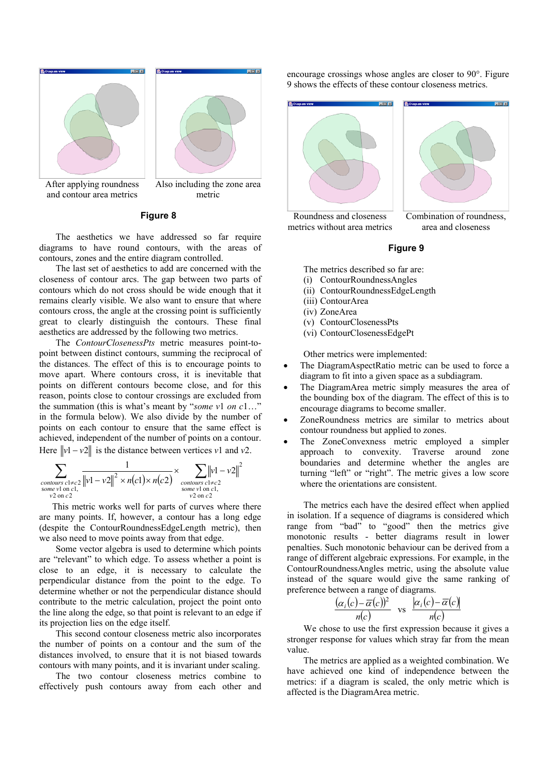



metric

2

After applying roundness and contour area metrics

# **Figure 8**

The aesthetics we have addressed so far require diagrams to have round contours, with the areas of contours, zones and the entire diagram controlled.

The last set of aesthetics to add are concerned with the closeness of contour arcs. The gap between two parts of contours which do not cross should be wide enough that it remains clearly visible. We also want to ensure that where contours cross, the angle at the crossing point is sufficiently great to clearly distinguish the contours. These final aesthetics are addressed by the following two metrics.

The *ContourClosenessPts* metric measures point-topoint between distinct contours, summing the reciprocal of the distances. The effect of this is to encourage points to move apart. Where contours cross, it is inevitable that points on different contours become close, and for this reason, points close to contour crossings are excluded from the summation (this is what's meant by "*some v*1 *on c*1…" in the formula below). We also divide by the number of points on each contour to ensure that the same effect is achieved, independent of the number of points on a contour. Here  $\|v\| - v\|$  is the distance between vertices *v*1 and *v*2.

$$
\sum_{\substack{\text{contours } v \text{ } \geq 0 \\ v \text{ } v \text{ } \geq 0 \\ v \text{ } \geq 0 \\ v \text{ } \geq 0}} \frac{1}{\left\|v1 - v2\right\|^2 \times n(c1) \times n(c2)} \times \sum_{\substack{\text{contours } c1 \neq c2 \\ \text{ } \text{source } v \text{ } \geq 0 \\ v \text{ } \geq 0 \\ v \text{ } \geq 0 \\ c2}} \left\|v1 - v2\right\|
$$

This metric works well for parts of curves where there are many points. If, however, a contour has a long edge (despite the ContourRoundnessEdgeLength metric), then we also need to move points away from that edge.

Some vector algebra is used to determine which points are "relevant" to which edge. To assess whether a point is close to an edge, it is necessary to calculate the perpendicular distance from the point to the edge. To determine whether or not the perpendicular distance should contribute to the metric calculation, project the point onto the line along the edge, so that point is relevant to an edge if its projection lies on the edge itself.

This second contour closeness metric also incorporates the number of points on a contour and the sum of the distances involved, to ensure that it is not biased towards contours with many points, and it is invariant under scaling.

The two contour closeness metrics combine to effectively push contours away from each other and encourage crossings whose angles are closer to 90°. Figure 9 shows the effects of these contour closeness metrics.



Roundness and closeness metrics without area metrics



Combination of roundness, area and closeness

#### **Figure 9**

The metrics described so far are:

- (i) ContourRoundnessAngles
- (ii) ContourRoundnessEdgeLength
- (iii) ContourArea
- (iv) ZoneArea
- (v) ContourClosenessPts
- (vi) ContourClosenessEdgePt

Other metrics were implemented:

- The DiagramAspectRatio metric can be used to force a diagram to fit into a given space as a subdiagram.
- The DiagramArea metric simply measures the area of the bounding box of the diagram. The effect of this is to encourage diagrams to become smaller.
- ZoneRoundness metrics are similar to metrics about contour roundness but applied to zones.
- The ZoneConvexness metric employed a simpler approach to convexity. Traverse around zone boundaries and determine whether the angles are turning "left" or "right". The metric gives a low score where the orientations are consistent.

The metrics each have the desired effect when applied in isolation. If a sequence of diagrams is considered which range from "bad" to "good" then the metrics give monotonic results - better diagrams result in lower penalties. Such monotonic behaviour can be derived from a range of different algebraic expressions. For example, in the ContourRoundnessAngles metric, using the absolute value instead of the square would give the same ranking of preference between a range of diagrams.

$$
\frac{(\alpha_i(c)-\overline{\alpha}(c))^2}{n(c)} \quad \text{vs} \quad \frac{|\alpha_i(c)-\overline{\alpha}(c)|}{n(c)}
$$

We chose to use the first expression because it gives a stronger response for values which stray far from the mean value.

The metrics are applied as a weighted combination. We have achieved one kind of independence between the metrics: if a diagram is scaled, the only metric which is affected is the DiagramArea metric.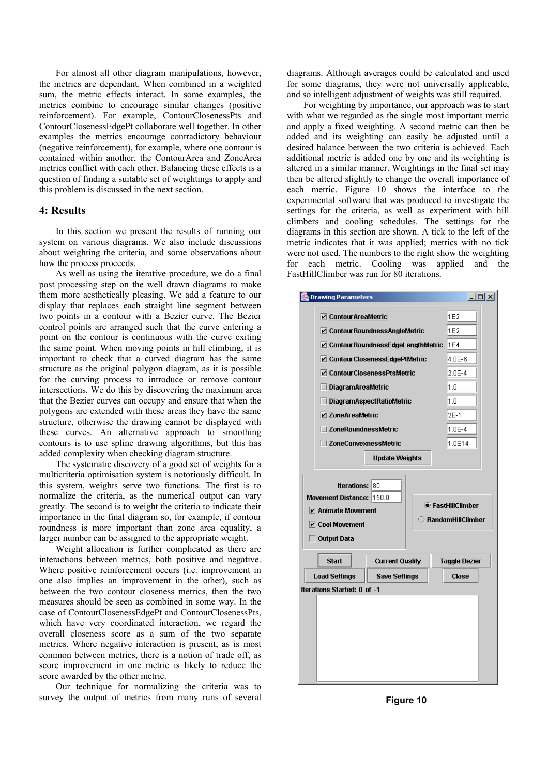For almost all other diagram manipulations, however, the metrics are dependant. When combined in a weighted sum, the metric effects interact. In some examples, the metrics combine to encourage similar changes (positive reinforcement). For example, ContourClosenessPts and ContourClosenessEdgePt collaborate well together. In other examples the metrics encourage contradictory behaviour (negative reinforcement), for example, where one contour is contained within another, the ContourArea and ZoneArea metrics conflict with each other. Balancing these effects is a question of finding a suitable set of weightings to apply and this problem is discussed in the next section.

### **4: Results**

In this section we present the results of running our system on various diagrams. We also include discussions about weighting the criteria, and some observations about how the process proceeds.

As well as using the iterative procedure, we do a final post processing step on the well drawn diagrams to make them more aesthetically pleasing. We add a feature to our display that replaces each straight line segment between two points in a contour with a Bezier curve. The Bezier control points are arranged such that the curve entering a point on the contour is continuous with the curve exiting the same point. When moving points in hill climbing, it is important to check that a curved diagram has the same structure as the original polygon diagram, as it is possible for the curving process to introduce or remove contour intersections. We do this by discovering the maximum area that the Bezier curves can occupy and ensure that when the polygons are extended with these areas they have the same structure, otherwise the drawing cannot be displayed with these curves. An alternative approach to smoothing contours is to use spline drawing algorithms, but this has added complexity when checking diagram structure.

The systematic discovery of a good set of weights for a multicriteria optimisation system is notoriously difficult. In this system, weights serve two functions. The first is to normalize the criteria, as the numerical output can vary greatly. The second is to weight the criteria to indicate their importance in the final diagram so, for example, if contour roundness is more important than zone area equality, a larger number can be assigned to the appropriate weight.

Weight allocation is further complicated as there are interactions between metrics, both positive and negative. Where positive reinforcement occurs (i.e. improvement in one also implies an improvement in the other), such as between the two contour closeness metrics, then the two measures should be seen as combined in some way. In the case of ContourClosenessEdgePt and ContourClosenessPts, which have very coordinated interaction, we regard the overall closeness score as a sum of the two separate metrics. Where negative interaction is present, as is most common between metrics, there is a notion of trade off, as score improvement in one metric is likely to reduce the score awarded by the other metric.

Our technique for normalizing the criteria was to survey the output of metrics from many runs of several diagrams. Although averages could be calculated and used for some diagrams, they were not universally applicable, and so intelligent adjustment of weights was still required.

For weighting by importance, our approach was to start with what we regarded as the single most important metric and apply a fixed weighting. A second metric can then be added and its weighting can easily be adjusted until a desired balance between the two criteria is achieved. Each additional metric is added one by one and its weighting is altered in a similar manner. Weightings in the final set may then be altered slightly to change the overall importance of each metric. Figure 10 shows the interface to the experimental software that was produced to investigate the settings for the criteria, as well as experiment with hill climbers and cooling schedules. The settings for the diagrams in this section are shown. A tick to the left of the metric indicates that it was applied; metrics with no tick were not used. The numbers to the right show the weighting for each metric. Cooling was applied and the FastHillClimber was run for 80 iterations.



**Figure 10**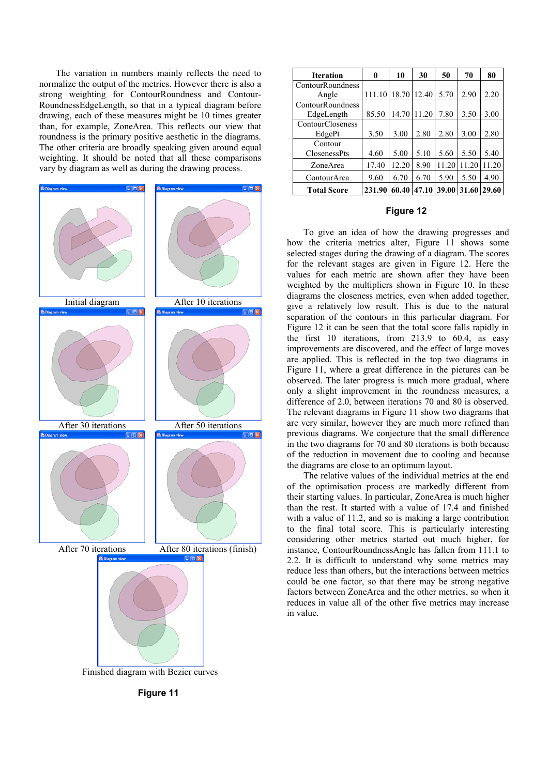The variation in numbers mainly reflects the need to normalize the output of the metrics. However there is also a strong weighting for ContourRoundness and Contour-RoundnessEdgeLength, so that in a typical diagram before drawing, each of these measures might be 10 times greater than, for example, ZoneArea. This reflects our view that roundness is the primary positive aesthetic in the diagrams. The other criteria are broadly speaking given around equal weighting. It should be noted that all these comparisons vary by diagram as well as during the drawing process.



| <b>Iteration</b>        | 0      | 10    | 30    | 50    | 70    | 80    |
|-------------------------|--------|-------|-------|-------|-------|-------|
| ContourRoundness        |        |       |       |       |       |       |
| Angle                   | 111.10 | 18.70 | 12.40 | 5.70  | 2.90  | 2.20  |
| ContourRoundness        |        |       |       |       |       |       |
| EdgeLength              | 85.50  | 14.70 | 11.20 | 7.80  | 3.50  | 3.00  |
| <b>ContourCloseness</b> |        |       |       |       |       |       |
| EdgePt                  | 3.50   | 3.00  | 2.80  | 2.80  | 3.00  | 2.80  |
| Contour                 |        |       |       |       |       |       |
| <b>ClosenessPts</b>     | 4.60   | 5.00  | 5.10  | 5.60  | 5.50  | 5.40  |
| ZoneArea                | 17.40  | 12.20 | 8.90  | 11.20 | 11.20 | 11.20 |
| ContourArea             | 9.60   | 6.70  | 6.70  | 5.90  | 5.50  | 4.90  |
| <b>Total Score</b>      | 231.90 | 60.40 | 47.10 | 39.00 | 31.60 | 29.60 |

# **Figure 12**

To give an idea of how the drawing progresses and how the criteria metrics alter, Figure 11 shows some selected stages during the drawing of a diagram. The scores for the relevant stages are given in Figure 12. Here the values for each metric are shown after they have been weighted by the multipliers shown in Figure 10. In these diagrams the closeness metrics, even when added together, give a relatively low result. This is due to the natural separation of the contours in this particular diagram. For Figure 12 it can be seen that the total score falls rapidly in the first 10 iterations, from 213.9 to 60.4, as easy improvements are discovered, and the effect of large moves are applied. This is reflected in the top two diagrams in Figure 11, where a great difference in the pictures can be observed. The later progress is much more gradual, where only a slight improvement in the roundness measures, a difference of 2.0, between iterations 70 and 80 is observed. The relevant diagrams in Figure 11 show two diagrams that are very similar, however they are much more refined than previous diagrams. We conjecture that the small difference in the two diagrams for 70 and 80 iterations is both because of the reduction in movement due to cooling and because the diagrams are close to an optimum layout.

The relative values of the individual metrics at the end of the optimisation process are markedly different from their starting values. In particular, ZoneArea is much higher than the rest. It started with a value of 17.4 and finished with a value of 11.2, and so is making a large contribution to the final total score. This is particularly interesting considering other metrics started out much higher, for instance, ContourRoundnessAngle has fallen from 111.1 to 2.2. It is difficult to understand why some metrics may reduce less than others, but the interactions between metrics could be one factor, so that there may be strong negative factors between ZoneArea and the other metrics, so when it reduces in value all of the other five metrics may increase in value.

**Figure 11**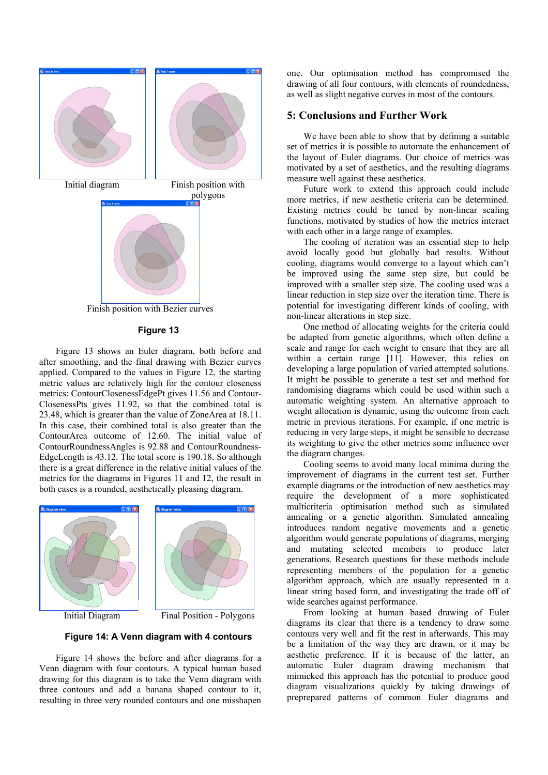

#### **Figure 13**

Figure 13 shows an Euler diagram, both before and after smoothing, and the final drawing with Bezier curves applied. Compared to the values in Figure 12, the starting metric values are relatively high for the contour closeness metrics: ContourClosenessEdgePt gives 11.56 and Contour-ClosenessPts gives 11.92, so that the combined total is 23.48, which is greater than the value of ZoneArea at 18.11. In this case, their combined total is also greater than the ContourArea outcome of 12.60. The initial value of ContourRoundnessAngles is 92.88 and ContourRoundness-EdgeLength is 43.12. The total score is 190.18. So although there is a great difference in the relative initial values of the metrics for the diagrams in Figures 11 and 12, the result in both cases is a rounded, aesthetically pleasing diagram.



Initial Diagram Final Position - Polygons

#### **Figure 14: A Venn diagram with 4 contours**

Figure 14 shows the before and after diagrams for a Venn diagram with four contours. A typical human based drawing for this diagram is to take the Venn diagram with three contours and add a banana shaped contour to it, resulting in three very rounded contours and one misshapen one. Our optimisation method has compromised the drawing of all four contours, with elements of roundedness, as well as slight negative curves in most of the contours.

# **5: Conclusions and Further Work**

We have been able to show that by defining a suitable set of metrics it is possible to automate the enhancement of the layout of Euler diagrams. Our choice of metrics was motivated by a set of aesthetics, and the resulting diagrams measure well against these aesthetics.

Future work to extend this approach could include more metrics, if new aesthetic criteria can be determined. Existing metrics could be tuned by non-linear scaling functions, motivated by studies of how the metrics interact with each other in a large range of examples.

The cooling of iteration was an essential step to help avoid locally good but globally bad results. Without cooling, diagrams would converge to a layout which can't be improved using the same step size, but could be improved with a smaller step size. The cooling used was a linear reduction in step size over the iteration time. There is potential for investigating different kinds of cooling, with non-linear alterations in step size.

One method of allocating weights for the criteria could be adapted from genetic algorithms, which often define a scale and range for each weight to ensure that they are all within a certain range [\[11\]](#page-8-8). However, this relies on developing a large population of varied attempted solutions. It might be possible to generate a test set and method for randomising diagrams which could be used within such a automatic weighting system. An alternative approach to weight allocation is dynamic, using the outcome from each metric in previous iterations. For example, if one metric is reducing in very large steps, it might be sensible to decrease its weighting to give the other metrics some influence over the diagram changes.

Cooling seems to avoid many local minima during the improvement of diagrams in the current test set. Further example diagrams or the introduction of new aesthetics may require the development of a more sophisticated multicriteria optimisation method such as simulated annealing or a genetic algorithm. Simulated annealing introduces random negative movements and a genetic algorithm would generate populations of diagrams, merging and mutating selected members to produce later generations. Research questions for these methods include representing members of the population for a genetic algorithm approach, which are usually represented in a linear string based form, and investigating the trade off of wide searches against performance.

From looking at human based drawing of Euler diagrams its clear that there is a tendency to draw some contours very well and fit the rest in afterwards. This may be a limitation of the way they are drawn, or it may be aesthetic preference. If it is because of the latter, an automatic Euler diagram drawing mechanism that mimicked this approach has the potential to produce good diagram visualizations quickly by taking drawings of preprepared patterns of common Euler diagrams and